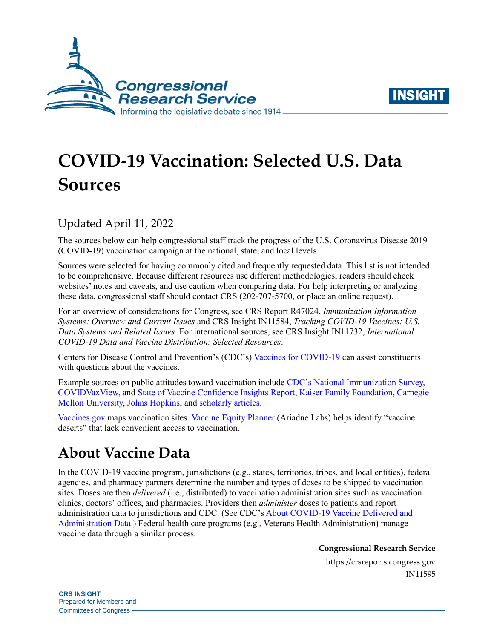



# **COVID-19 Vaccination: Selected U.S. Data Sources**

#### Updated April 11, 2022

The sources below can help congressional staff track the progress of the U.S. Coronavirus Disease 2019 (COVID-19) vaccination campaign at the national, state, and local levels.

Sources were selected for having commonly cited and frequently requested data. This list is not intended to be comprehensive. Because different resources use different methodologies, readers should check websites' notes and caveats, and use caution when comparing data. For help interpreting or analyzing these data, congressional staff should contact CRS (202-707-5700, or place an online request).

For an overview of considerations for Congress, see CRS Report R47024, *[Immunization Information](https://crsreports.congress.gov/product/pdf/R/R47024)  [Systems: Overview and Current Issues](https://crsreports.congress.gov/product/pdf/R/R47024)* and CRS Insight IN11584, *[Tracking COVID-19 Vaccines: U.S.](https://crsreports.congress.gov/product/pdf/IN/IN11584)  [Data Systems and Related Issues](https://crsreports.congress.gov/product/pdf/IN/IN11584)*. For international sources, see CRS Insight IN11732, *[International](https://crsreports.congress.gov/product/pdf/IN/IN11732)  [COVID-19 Data and Vaccine Distribution: Selected Resources](https://crsreports.congress.gov/product/pdf/IN/IN11732)*.

Centers for Disease Control and Prevention's (CDC's[\) Vaccines for COVID-19](https://www.cdc.gov/coronavirus/2019-ncov/vaccines/index.html) can assist constituents with questions about the vaccines.

Example sources on public attitudes toward vaccination include [CDC's National Immunization Survey,](https://covid.cdc.gov/covid-data-tracker/#vaccine-confidence) [COVIDVaxView,](https://www.cdc.gov/vaccines/imz-managers/coverage/covidvaxview/index.html) and [State of Vaccine Confidence Insights Report,](https://www.cdc.gov/vaccines/covid-19/vaccinate-with-confidence.html#COVID-19%20State%20of%20Vaccine%20Confidence%20Insights%20Report) [Kaiser Family Foundation,](https://www.kff.org/coronavirus-covid-19/dashboard/kff-covid-19-vaccine-monitor-dashboard) [Carnegie](https://delphi.cmu.edu/covidcast/indicator/?sensor=fb-survey-smoothed_wcovid_vaccinated_appointment_or_accept)  [Mellon University,](https://delphi.cmu.edu/covidcast/indicator/?sensor=fb-survey-smoothed_wcovid_vaccinated_appointment_or_accept) [Johns Hopkins,](https://covidbehaviors.org/) and [scholarly articles.](https://www.ncbi.nlm.nih.gov/research/coronavirus/docsum?text=(vaccine%20OR%20vaccination%20OR%20immunization)%20AND%20(hesitancy%20OR%20refusal%20OR%20distrust%20OR%20mistrust%20OR%20skepticism%20OR%20acceptance%20OR%20acceptability%20OR%20trust%20OR%20%22vaccine%20confidence%22%20OR%20willingness%20OR%20uptake%20OR%20attitudes%20OR%20intent%20OR%20intention%20OR%20barriers)&filters=countries.United%20States&sort=score%20desc&page=1)

[Vaccines.gov](https://www.vaccines.gov/) maps vaccination sites. [Vaccine Equity Planner](https://vaccineplanner.org/) (Ariadne Labs) helps identify "vaccine deserts" that lack convenient access to vaccination.

# **About Vaccine Data**

In the COVID-19 vaccine program, jurisdictions (e.g., states, territories, tribes, and local entities), federal agencies, and pharmacy partners determine the number and types of doses to be shipped to vaccination sites. Doses are then *delivered* (i.e., distributed) to vaccination administration sites such as vaccination clinics, doctors' offices, and pharmacies. Providers then *administer* doses to patients and report administration data to jurisdictions and CDC. (See CDC'[s About COVID-19 Vaccine Delivered and](https://www.cdc.gov/coronavirus/2019-ncov/vaccines/distributing/about-vaccine-data.html)  [Administration Data.](https://www.cdc.gov/coronavirus/2019-ncov/vaccines/distributing/about-vaccine-data.html)) Federal health care programs (e.g., Veterans Health Administration) manage vaccine data through a similar process.

**Congressional Research Service**

https://crsreports.congress.gov IN11595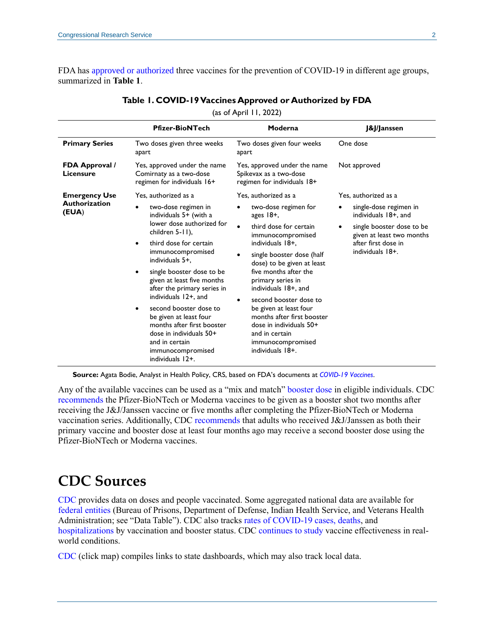<span id="page-1-0"></span>FDA has [approved or authorized](https://www.fda.gov/emergency-preparedness-and-response/coronavirus-disease-2019-covid-19/covid-19-vaccines) three vaccines for the prevention of COVID-19 in different age groups, summarized in **[Table 1](#page-1-0)**.

|                                    | <b>Pfizer-BioNTech</b>                                                                                                                                                                                                                                                                                                                                                                                                                                                       | Moderna                                                                                                                                                                                                                                                                                                                                                                                                                                                 | <b>J&amp;J</b> /Janssen                                                                                                                                                       |
|------------------------------------|------------------------------------------------------------------------------------------------------------------------------------------------------------------------------------------------------------------------------------------------------------------------------------------------------------------------------------------------------------------------------------------------------------------------------------------------------------------------------|---------------------------------------------------------------------------------------------------------------------------------------------------------------------------------------------------------------------------------------------------------------------------------------------------------------------------------------------------------------------------------------------------------------------------------------------------------|-------------------------------------------------------------------------------------------------------------------------------------------------------------------------------|
| <b>Primary Series</b>              | Two doses given three weeks<br>apart                                                                                                                                                                                                                                                                                                                                                                                                                                         | Two doses given four weeks<br>apart                                                                                                                                                                                                                                                                                                                                                                                                                     | One dose                                                                                                                                                                      |
| <b>FDA Approval /</b><br>Licensure | Yes, approved under the name<br>Comirnaty as a two-dose<br>regimen for individuals 16+                                                                                                                                                                                                                                                                                                                                                                                       | Yes, approved under the name<br>Spikevax as a two-dose<br>regimen for individuals 18+                                                                                                                                                                                                                                                                                                                                                                   | Not approved                                                                                                                                                                  |
| <b>Emergency Use</b>               | Yes, authorized as a                                                                                                                                                                                                                                                                                                                                                                                                                                                         | Yes, authorized as a                                                                                                                                                                                                                                                                                                                                                                                                                                    | Yes, authorized as a                                                                                                                                                          |
| <b>Authorization</b><br>(EUA)      | two-dose regimen in<br>$\bullet$<br>individuals 5+ (with a<br>lower dose authorized for<br>children 5-11),<br>third dose for certain<br>$\bullet$<br>immunocompromised<br>individuals 5+.<br>single booster dose to be<br>given at least five months<br>after the primary series in<br>individuals 12+, and<br>second booster dose to<br>$\bullet$<br>be given at least four<br>months after first booster<br>dose in individuals 50+<br>and in certain<br>immunocompromised | two-dose regimen for<br>$\bullet$<br>ages $18+$ .<br>third dose for certain<br>$\bullet$<br>immunocompromised<br>individuals 18+,<br>single booster dose (half<br>dose) to be given at least<br>five months after the<br>primary series in<br>individuals 18+, and<br>second booster dose to<br>$\bullet$<br>be given at least four<br>months after first booster<br>dose in individuals 50+<br>and in certain<br>immunocompromised<br>individuals 18+. | single-dose regimen in<br>$\bullet$<br>individuals 18+, and<br>single booster dose to be<br>$\bullet$<br>given at least two months<br>after first dose in<br>individuals 18+. |

#### **Table 1. COVID-19 Vaccines Approved or Authorized by FDA**

(as of April 11, 2022)

**Source:** Agata Bodie, Analyst in Health Policy, CRS, based on FDA's documents at *[COVID-19 Vaccines](https://www.fda.gov/emergency-preparedness-and-response/coronavirus-disease-2019-covid-19/covid-19-vaccines)*.

Any of the available vaccines can be used as a "mix and match" [booster dose](https://www.fda.gov/news-events/press-announcements/coronavirus-covid-19-update-fda-takes-additional-actions-use-booster-dose-covid-19-vaccines) in eligible individuals. CDC [recommends](https://www.cdc.gov/coronavirus/2019-ncov/vaccines/booster-shot.html) the Pfizer-BioNTech or Moderna vaccines to be given as a booster shot two months after receiving the J&J/Janssen vaccine or five months after completing the Pfizer-BioNTech or Moderna vaccination series. Additionally, CDC [recommends](https://www.cdc.gov/media/releases/2022/s0328-covid-19-boosters.html) that adults who received J&J/Janssen as both their primary vaccine and booster dose at least four months ago may receive a second booster dose using the Pfizer-BioNTech or Moderna vaccines.

### **CDC Sources**

[CDC](https://covid.cdc.gov/covid-data-tracker/#vaccinations_vacc-total-admin-rate-total) provides data on doses and people vaccinated. Some aggregated national data are available for [federal entities](https://covid.cdc.gov/covid-data-tracker/#vaccinations_vacc-total-admin-rate-total) (Bureau of Prisons, Department of Defense, Indian Health Service, and Veterans Health Administration; see "Data Table"). CDC also tracks [rates of COVID-19 cases, deaths,](https://covid.cdc.gov/covid-data-tracker/#rates-by-vaccine-status) and [hospitalizations](https://covid.cdc.gov/covid-data-tracker/#covidnet-hospitalizations-vaccination) by vaccination and booster status. CDC [continues to study](https://covid.cdc.gov/covid-data-tracker/#vaccine-effectiveness) vaccine effectiveness in realworld conditions.

[CDC](https://covid.cdc.gov/covid-data-tracker/#vaccinations_vacc-total-admin-rate-total) (click map) compiles links to state dashboards, which may also track local data.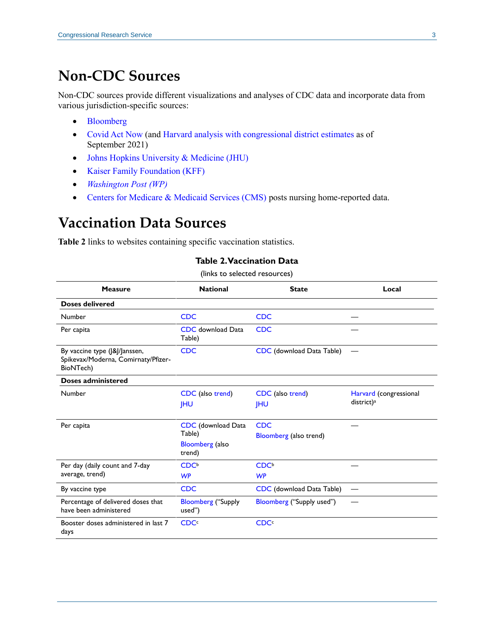### **Non-CDC Sources**

Non-CDC sources provide different visualizations and analyses of CDC data and incorporate data from various jurisdiction-specific sources:

- [Bloomberg](https://www.bloomberg.com/graphics/covid-vaccine-tracker-global-distribution/)
- [Covid Act Now](https://covidactnow.org/) (and Harvard analysis [with congressional district](https://geographicinsights.iq.harvard.edu/vaccineuscongress) estimates as of September 2021)
- [Johns Hopkins University & Medicine \(JHU\)](https://coronavirus.jhu.edu/vaccines)
- [Kaiser Family Foundation](https://www.kff.org/coronavirus-covid-19/issue-brief/latest-data-on-covid-19-vaccinations-race-ethnicity/) (KFF)
- *[Washington Post](https://www.washingtonpost.com/graphics/2020/health/covid-vaccine-states-distribution-doses/) (WP)*
- [Centers for Medicare & Medicaid Services \(CMS\)](https://data.cms.gov/covid-19/covid-19-nursing-home-data) posts nursing home-reported data.

## **Vaccination Data Sources**

<span id="page-2-0"></span>**[Table 2](#page-2-0)** links to websites containing specific vaccination statistics.

#### **Table 2. Vaccination Data**

(links to selected resources)

| <b>Measure</b>                                                                    | <b>National</b>                                                         | <b>State</b>                         | Local                                            |
|-----------------------------------------------------------------------------------|-------------------------------------------------------------------------|--------------------------------------|--------------------------------------------------|
| <b>Doses delivered</b>                                                            |                                                                         |                                      |                                                  |
| Number                                                                            | <b>CDC</b>                                                              | <b>CDC</b>                           |                                                  |
| Per capita                                                                        | <b>CDC</b> download Data<br>Table)                                      | <b>CDC</b>                           |                                                  |
| By vaccine type (J&J/Janssen,<br>Spikevax/Moderna, Comirnaty/Pfizer-<br>BioNTech) | <b>CDC</b>                                                              | CDC (download Data Table)            |                                                  |
| Doses administered                                                                |                                                                         |                                      |                                                  |
| Number                                                                            | CDC (also trend)<br><b>IHU</b>                                          | CDC (also trend)<br><b>IHU</b>       | Harvard (congressional<br>district) <sup>a</sup> |
| Per capita                                                                        | <b>CDC</b> (download Data<br>Table)<br><b>Bloomberg</b> (also<br>trend) | <b>CDC</b><br>Bloomberg (also trend) |                                                  |
| Per day (daily count and 7-day<br>average, trend)                                 | CDC <sup>b</sup><br><b>WP</b>                                           | CDC <sup>b</sup><br><b>WP</b>        |                                                  |
| By vaccine type                                                                   | <b>CDC</b>                                                              | CDC (download Data Table)            |                                                  |
| Percentage of delivered doses that<br>have been administered                      | <b>Bloomberg</b> ("Supply<br>used")                                     | Bloomberg ("Supply used")            |                                                  |
| Booster doses administered in last 7<br>days                                      | <b>CDC</b> <sup>c</sup>                                                 | <b>CDC</b> <sup>c</sup>              |                                                  |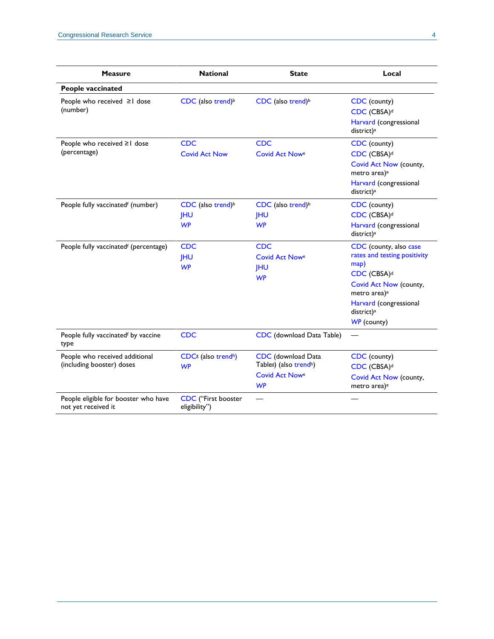| <b>Measure</b>                                                                                      | <b>National</b>                                                                        | <b>State</b>                                                                                                       | Local                                                                                                                                                                                                              |
|-----------------------------------------------------------------------------------------------------|----------------------------------------------------------------------------------------|--------------------------------------------------------------------------------------------------------------------|--------------------------------------------------------------------------------------------------------------------------------------------------------------------------------------------------------------------|
| People vaccinated                                                                                   |                                                                                        |                                                                                                                    |                                                                                                                                                                                                                    |
| People who received ≥1 dose<br>(number)                                                             | CDC (also trend) <sup>b</sup>                                                          | CDC (also trend) <sup>b</sup>                                                                                      | CDC (county)<br>CDC (CBSA) <sup>d</sup><br>Harvard (congressional<br>district) <sup>a</sup>                                                                                                                        |
| People who received ≥1 dose<br>(percentage)                                                         | <b>CDC</b><br><b>Covid Act Now</b>                                                     | <b>CDC</b><br>Covid Act Nowe                                                                                       | CDC (county)<br>CDC (CBSA) <sup>d</sup><br>Covid Act Now (county,<br>metro area) <sup>e</sup><br>Harvard (congressional<br>district) <sup>a</sup>                                                                  |
| People fully vaccinatedf (number)                                                                   | CDC (also trend) <sup>b</sup><br><b>JHU</b><br><b>WP</b>                               | CDC (also trend) <sup>b</sup><br><b>JHU</b><br><b>WP</b>                                                           | CDC (county)<br>CDC (CBSA) <sup>d</sup><br>Harvard (congressional<br>district) <sup>a</sup>                                                                                                                        |
| People fully vaccinatedf (percentage)                                                               | <b>CDC</b><br><b>JHU</b><br><b>WP</b>                                                  | <b>CDC</b><br><b>Covid Act Nowe</b><br><b>IHU</b><br><b>WP</b>                                                     | CDC (county, also case<br>rates and testing positivity<br>map)<br>CDC (CBSA) <sup>d</sup><br>Covid Act Now (county,<br>metro area) <sup>e</sup><br>Harvard (congressional<br>district) <sup>a</sup><br>WP (county) |
| People fully vaccinatedf by vaccine<br>type                                                         | <b>CDC</b>                                                                             | CDC (download Data Table)                                                                                          | $\overline{\phantom{0}}$                                                                                                                                                                                           |
| People who received additional<br>(including booster) doses<br>People eligible for booster who have | CDC <sup>g</sup> (also trend <sup>h</sup> )<br><b>WP</b><br><b>CDC</b> ("First booster | <b>CDC</b> (download Data<br>Table <sup>g</sup> ) (also trend <sup>h</sup> )<br><b>Covid Act Nowe</b><br><b>WP</b> | CDC (county)<br>CDC (CBSA) <sup>d</sup><br>Covid Act Now (county,<br>metro area) <sup>e</sup>                                                                                                                      |
| not yet received it                                                                                 | eligibility")                                                                          |                                                                                                                    |                                                                                                                                                                                                                    |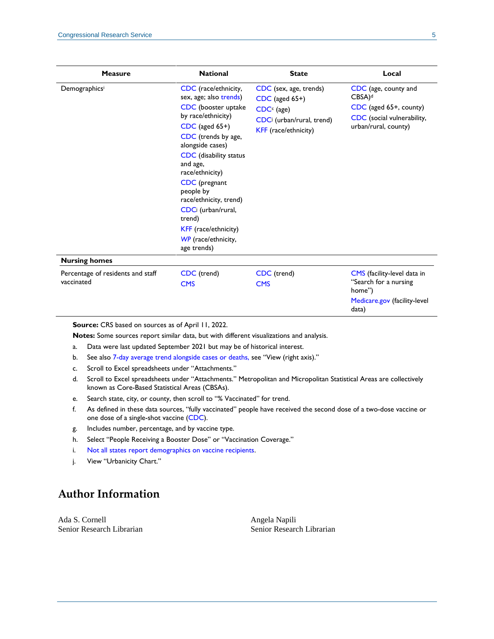| <b>Measure</b>                                  | <b>National</b>                                                                                                                                                                                                                                                                                                                                                                         | <b>State</b>                                                                                                      | Local                                                                                                                       |
|-------------------------------------------------|-----------------------------------------------------------------------------------------------------------------------------------------------------------------------------------------------------------------------------------------------------------------------------------------------------------------------------------------------------------------------------------------|-------------------------------------------------------------------------------------------------------------------|-----------------------------------------------------------------------------------------------------------------------------|
| Demographicsi                                   | CDC (race/ethnicity,<br>sex, age; also trends)<br>CDC (booster uptake<br>by race/ethnicity)<br>$CDC$ (aged 65+)<br>CDC (trends by age,<br>alongside cases)<br><b>CDC</b> (disability status<br>and age,<br>race/ethnicity)<br>CDC (pregnant<br>people by<br>race/ethnicity, trend)<br>CDCi (urban/rural,<br>trend)<br><b>KFF</b> (race/ethnicity)<br>WP (race/ethnicity,<br>age trends) | CDC (sex, age, trends)<br>$CDC$ (aged $65+)$<br>$CDCc$ (age)<br>CDCi (urban/rural, trend)<br>KFF (race/ethnicity) | CDC (age, county and<br>$CBSA$ <sup>d</sup><br>CDC (aged 65+, county)<br>CDC (social vulnerability,<br>urban/rural, county) |
| <b>Nursing homes</b>                            |                                                                                                                                                                                                                                                                                                                                                                                         |                                                                                                                   |                                                                                                                             |
| Percentage of residents and staff<br>vaccinated | CDC (trend)<br><b>CMS</b>                                                                                                                                                                                                                                                                                                                                                               | CDC (trend)<br><b>CMS</b>                                                                                         | CMS (facility-level data in<br>"Search for a nursing<br>home")<br>Medicare.gov (facility-level<br>data)                     |

**Source:** CRS based on sources as of April 11, 2022.

**Notes:** Some sources report similar data, but with different visualizations and analysis.

- <span id="page-4-0"></span>a. Data were last updated September 2021 but may be of historical interest.
- <span id="page-4-1"></span>b. See also [7-day average trend alongside cases or deaths,](https://covid.cdc.gov/covid-data-tracker/#trends_dailydeaths) see "View (right axis)."
- c. Scroll to Excel spreadsheets under "Attachments."
- <span id="page-4-2"></span>d. Scroll to Excel spreadsheets under "Attachments." Metropolitan and Micropolitan Statistical Areas are collectively known as Core-Based Statistical Areas (CBSAs).
- <span id="page-4-3"></span>e. Search state, city, or county, then scroll to "% Vaccinated" for trend.
- <span id="page-4-4"></span>f. As defined in these data sources, "fully vaccinated" people have received the second dose of a two-dose vaccine or one dose of a single-shot vaccine [\(CDC\)](https://www.cdc.gov/coronavirus/2019-ncov/vaccines/reporting-vaccinations.html).
- <span id="page-4-5"></span>g. Includes number, percentage, and by vaccine type.
- h. Select "People Receiving a Booster Dose" or "Vaccination Coverage."
- <span id="page-4-6"></span>i. [Not all states report demographics on vaccine recipients.](https://www.cdc.gov/coronavirus/2019-ncov/vaccines/distributing/demographics-vaccination-data.html)
- j. View "Urbanicity Chart."

#### **Author Information**

Ada S. Cornell Senior Research Librarian Angela Napili Senior Research Librarian